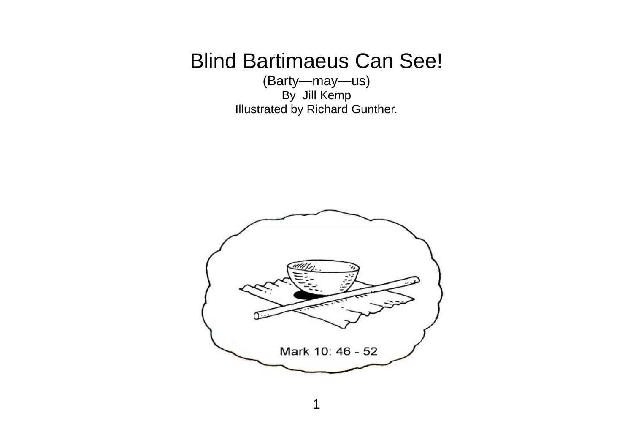## Blind Bartimaeus Can See!

(Barty—may—us) By Jill Kemp Illustrated by Richard Gunther.

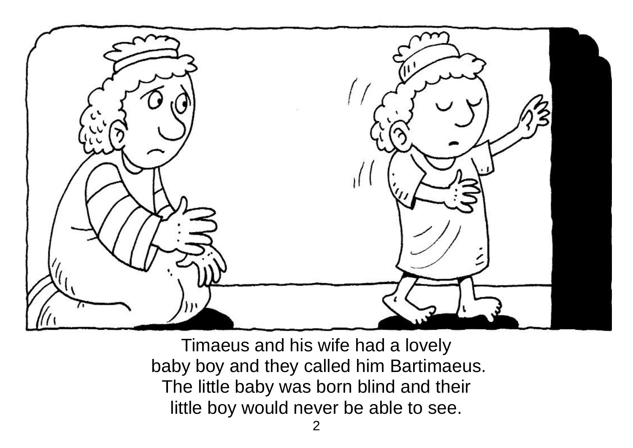

Timaeus and his wife had a lovely baby boy and they called him Bartimaeus. The little baby was born blind and their little boy would never be able to see.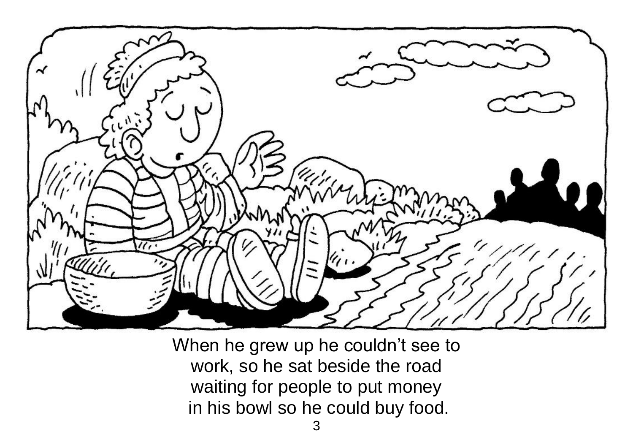

When he grew up he couldn't see to work, so he sat beside the road waiting for people to put money in his bowl so he could buy food.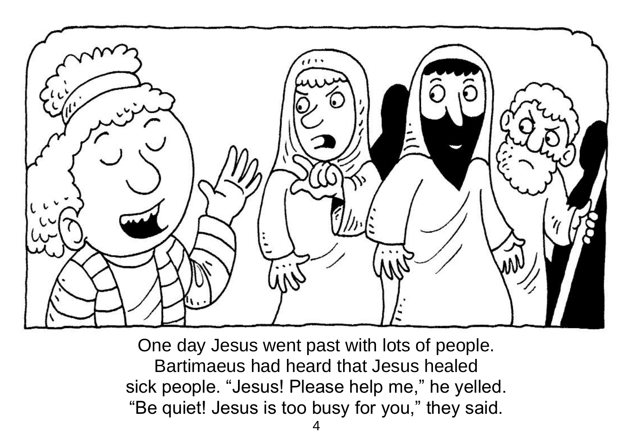

One day Jesus went past with lots of people. Bartimaeus had heard that Jesus healed sick people. "Jesus! Please help me," he yelled. "Be quiet! Jesus is too busy for you," they said.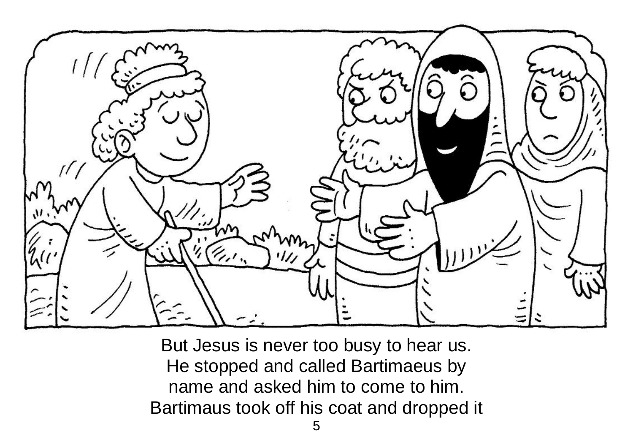

But Jesus is never too busy to hear us. He stopped and called Bartimaeus by name and asked him to come to him. Bartimaus took off his coat and dropped it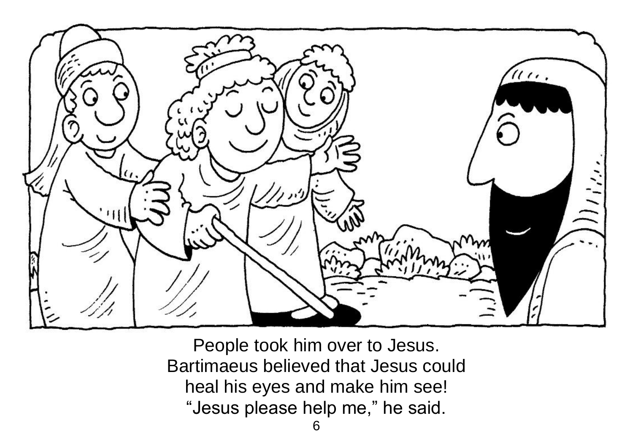

People took him over to Jesus. Bartimaeus believed that Jesus could heal his eyes and make him see! "Jesus please help me," he said.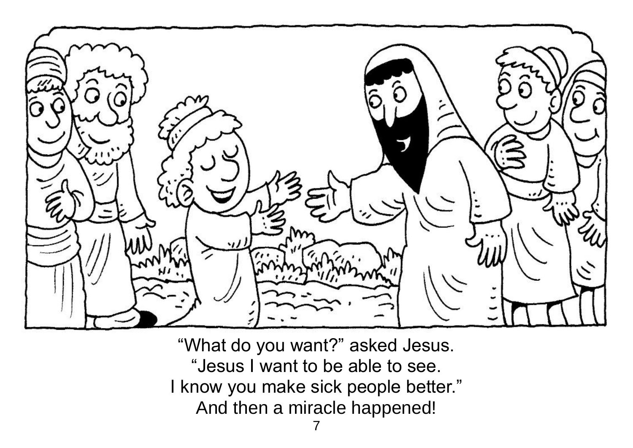

"What do you want?" asked Jesus. "Jesus I want to be able to see. I know you make sick people better." And then a miracle happened!